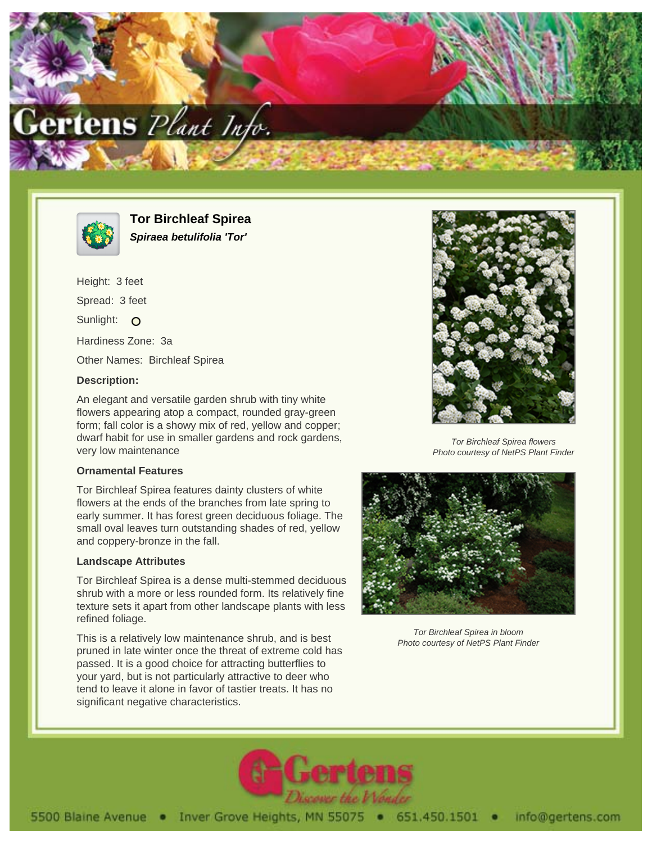



**Tor Birchleaf Spirea Spiraea betulifolia 'Tor'**

Height: 3 feet Spread: 3 feet Sunlight: O Hardiness Zone: 3a Other Names: Birchleaf Spirea

## **Description:**

An elegant and versatile garden shrub with tiny white flowers appearing atop a compact, rounded gray-green form; fall color is a showy mix of red, yellow and copper; dwarf habit for use in smaller gardens and rock gardens, very low maintenance

## **Ornamental Features**

Tor Birchleaf Spirea features dainty clusters of white flowers at the ends of the branches from late spring to early summer. It has forest green deciduous foliage. The small oval leaves turn outstanding shades of red, yellow and coppery-bronze in the fall.

## **Landscape Attributes**

Tor Birchleaf Spirea is a dense multi-stemmed deciduous shrub with a more or less rounded form. Its relatively fine texture sets it apart from other landscape plants with less refined foliage.

This is a relatively low maintenance shrub, and is best pruned in late winter once the threat of extreme cold has passed. It is a good choice for attracting butterflies to your yard, but is not particularly attractive to deer who tend to leave it alone in favor of tastier treats. It has no significant negative characteristics.



Tor Birchleaf Spirea flowers Photo courtesy of NetPS Plant Finder



Tor Birchleaf Spirea in bloom Photo courtesy of NetPS Plant Finder